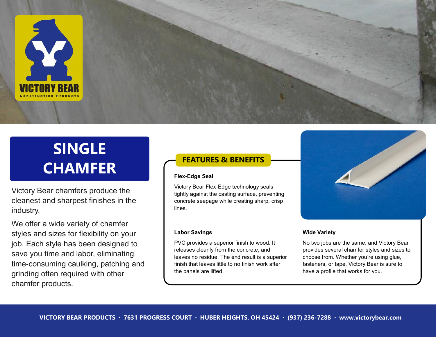

## **SINGLE CHAMFER**

Victory Bear chamfers produce the cleanest and sharpest finishes in the industry.

We offer a wide variety of chamfer styles and sizes for flexibility on your job. Each style has been designed to save you time and labor, eliminating time-consuming caulking, patching and grinding often required with other chamfer products.

## **FEATURES & BENEFITS**

## **Flex-Edge Seal**

Victory Bear Flex-Edge technology seals tightly against the casting surface, preventing concrete seepage while creating sharp, crisp lines.

## **Labor Savings**

PVC provides a superior finish to wood. It releases cleanly from the concrete, and leaves no residue. The end result is a superior finish that leaves little to no finish work after the panels are lifted.



## **Wide Variety**

No two jobs are the same, and Victory Bear provides several chamfer styles and sizes to choose from. Whether you're using glue, fasteners, or tape, Victory Bear is sure to have a profile that works for you.